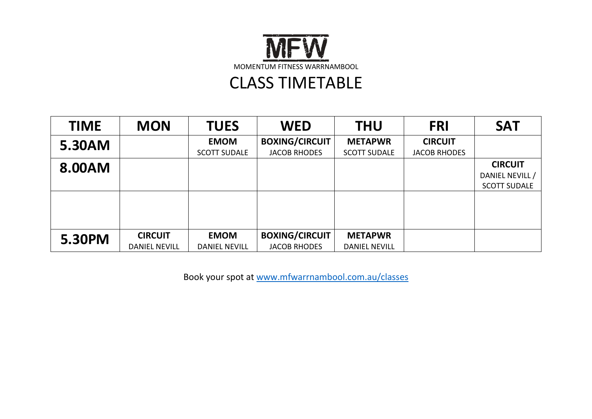

# CLASS TIMETABLE

| <b>TIME</b> | <b>MON</b>           | <b>TUES</b>          | <b>WED</b>            | <b>THU</b>           | <b>FRI</b>          | <b>SAT</b>          |
|-------------|----------------------|----------------------|-----------------------|----------------------|---------------------|---------------------|
| 5.30AM      |                      | <b>EMOM</b>          | <b>BOXING/CIRCUIT</b> | <b>METAPWR</b>       | <b>CIRCUIT</b>      |                     |
|             |                      | <b>SCOTT SUDALE</b>  | <b>JACOB RHODES</b>   | <b>SCOTT SUDALE</b>  | <b>JACOB RHODES</b> |                     |
| 8.00AM      |                      |                      |                       |                      |                     | <b>CIRCUIT</b>      |
|             |                      |                      |                       |                      |                     | DANIEL NEVILL /     |
|             |                      |                      |                       |                      |                     | <b>SCOTT SUDALE</b> |
|             |                      |                      |                       |                      |                     |                     |
|             |                      |                      |                       |                      |                     |                     |
|             |                      |                      |                       |                      |                     |                     |
|             |                      |                      |                       |                      |                     |                     |
| 5.30PM      | <b>CIRCUIT</b>       | <b>EMOM</b>          | <b>BOXING/CIRCUIT</b> | <b>METAPWR</b>       |                     |                     |
|             | <b>DANIEL NEVILL</b> | <b>DANIEL NEVILL</b> | <b>JACOB RHODES</b>   | <b>DANIEL NEVILL</b> |                     |                     |

Book your spot at [www.mfwarrnambool.com.au/classes](http://www.mfwarrnambool.com.au/classes)